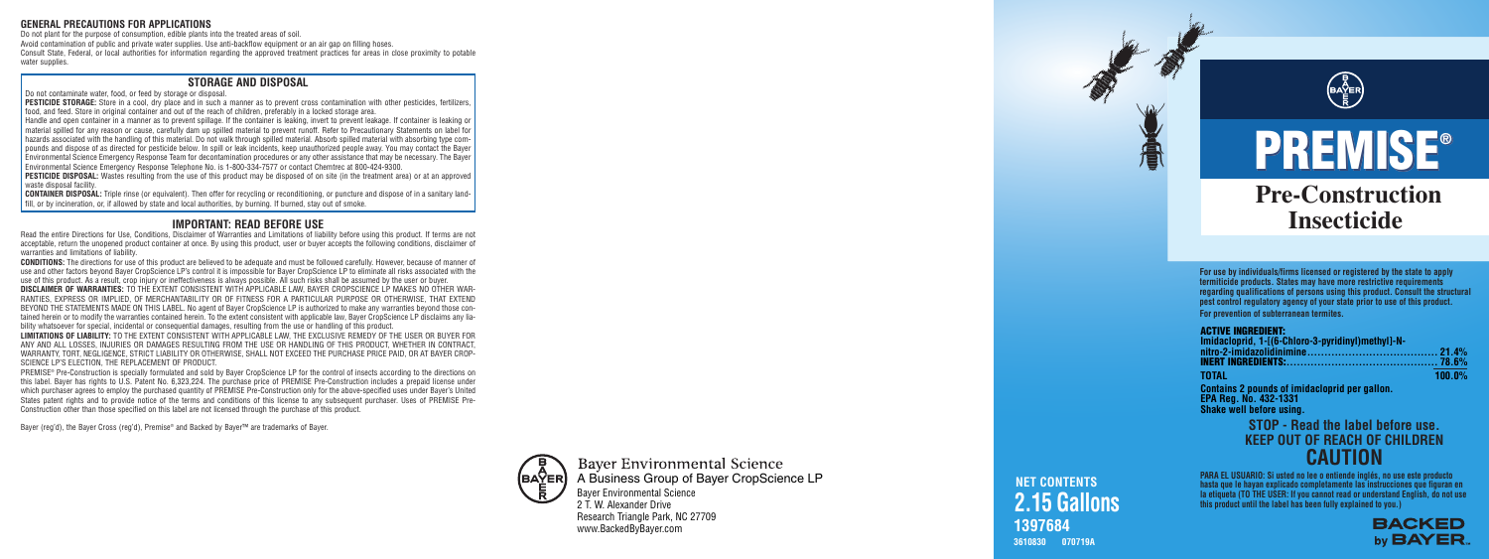**3610830 070719A**

#### **ACTIVE INGREDIENT:**

| Imidacloprid, 1-[(6-Chloro-3-pyridinyl)methyl]-N- |           |
|---------------------------------------------------|-----------|
|                                                   |           |
|                                                   |           |
| <b>TOTAL</b>                                      | $100.0\%$ |

**Contains 2 pounds of imidacloprid per gallon. EPA Reg. No. 432-1331 Shake well before using.**

**Pre-Construction Insecticide PREMISE ® PREMISE ®**

## **1397684 NET CONTENTS 2.15 Gallons**

## **CAUTION STOP - Read the label before use. KEEP OUT OF REACH OF CHILDREN**

**PARA EL USUARIO: Si usted no lee o entiende inglés, no use este producto hasta que le hayan explicado completamente las instrucciones que figuran en la etiqueta (TO THE USER: If you cannot read or understand English, do not use this product until the label has been fully explained to you.)**



PESTICIDE STORAGE: Store in a cool, dry place and in such a manner as to prevent cross contamination with other pesticides, fertilizers, food, and feed. Store in original container and out of the reach of children, preferably in a locked storage area.

> **For use by individuals/firms licensed or registered by the state to apply termiticide products. States may have more restrictive requirements regarding qualifications of persons using this product. Consult the structural pest control regulatory agency of your state prior to use of this product. For prevention of subterranean termites.**

#### **GENERAL PRECAUTIONS FOR APPLICATIONS**

Do not plant for the purpose of consumption, edible plants into the treated areas of soil. Avoid contamination of public and private water supplies. Use anti-backflow equipment or an air gap on filling hoses. Consult State, Federal, or local authorities for information regarding the approved treatment practices for areas in close proximity to potable water supplies.

**CONTAINER DISPOSAL:** Triple rinse (or equivalent). Then offer for recycling or reconditioning, or puncture and dispose of in a sanitary landfill, or by incineration, or, if allowed by state and local authorities, by burning. If burned, stay out of smoke.

#### **STORAGE AND DISPOSAL**

Do not contaminate water, food, or feed by storage or disposal.

**LIMITATIONS OF LIABILITY:** TO THE EXTENT CONSISTENT WITH APPLICABLE LAW, THE EXCLUSIVE REMEDY OF THE USER OR BUYER FOR ANY AND ALL LOSSES, INJURIES OR DAMAGES RESULTING FROM THE USE OR HANDLING OF THIS PRODUCT, WHETHER IN CONTRACT, WARRANTY, TORT, NEGLIGENCE, STRICT LIABILITY OR OTHERWISE, SHALL NOT EXCEED THE PURCHASE PRICE PAID, OR AT BAYER CROP-SCIENCE LP'S ELECTION, THE REPLACEMENT OF PRODUCT.

Handle and open container in a manner as to prevent spillage. If the container is leaking, invert to prevent leakage. If container is leaking or material spilled for any reason or cause, carefully dam up spilled material to prevent runoff. Refer to Precautionary Statements on label for hazards associated with the handling of this material. Do not walk through spilled material. Absorb spilled material with absorbing type compounds and dispose of as directed for pesticide below. In spill or leak incidents, keep unauthorized people away. You may contact the Bayer Environmental Science Emergency Response Team for decontamination procedures or any other assistance that may be necessary. The Bayer Environmental Science Emergency Response Telephone No. is 1-800-334-7577 or contact Chemtrec at 800-424-9300.

**PESTICIDE DISPOSAL:** Wastes resulting from the use of this product may be disposed of on site (in the treatment area) or at an approved waste disposal facility.

#### **IMPORTANT: READ BEFORE USE**

Read the entire Directions for Use, Conditions, Disclaimer of Warranties and Limitations of liability before using this product. If terms are not acceptable, return the unopened product container at once. By using this product, user or buyer accepts the following conditions, disclaimer of warranties and limitations of liability.

**CONDITIONS:** The directions for use of this product are believed to be adequate and must be followed carefully. However, because of manner o f use and other factors beyond Bayer CropScience LP's control it is impossible for Bayer CropScience LP to eliminate all risks associated with the use of this product. As a result, crop injury or ineffectiveness is always possible. All such risks shall be assumed by the user or buyer.

**DISCLAIMER OF WARRANTIES:** TO THE EXTENT CONSISTENT WITH APPLICABLE LAW, BAYER CROPSCIENCE LP MAKES NO OTHER WAR-RANTIES, EXPRESS OR IMPLIED, OF MERCHANTABILITY OR OF FITNESS FOR A PARTICULAR PURPOSE OR OTHERWISE, THAT EXTEND BEYOND THE STATEMENTS MADE ON THIS LABEL. No agent of Bayer CropScience LP is authorized to make any warranties beyond those contained herein or to modify the warranties contained herein. To the extent consistent with applicable law, Bayer CropScience LP disclaims any liability whatsoever for special, incidental or consequential damages, resulting from the use or handling of this product.

PREMISE ® Pre-Construction is specially formulated and sold by Bayer CropScience LP for the control of insects according to the directions on this label. Bayer has rights to U.S. Patent No. 6,323,224. The purchase price of PREMISE Pre-Construction includes a prepaid license under which purchaser agrees to employ the purchased quantity of PREMISE Pre-Construction only for the above-specified uses under Bayer's United States patent rights and to provide notice of the terms and conditions of this license to any subsequent purchaser. Uses of PREMISE Pre-Construction other than those specified on this label are not licensed through the purchase of this product.

Bayer (reg'd), the Bayer Cross (reg'd), Premise ® and Backed by Bayer™ are trademarks of Bayer.



**Baver Environmental Science** A Business Group of Bayer CropScience LPBaye r E nvi r o nme ntal Scie nce 2 T. W. Alexa nde r D rive Research Triangle Park, NC 27709

www.BackedByBaye r.com

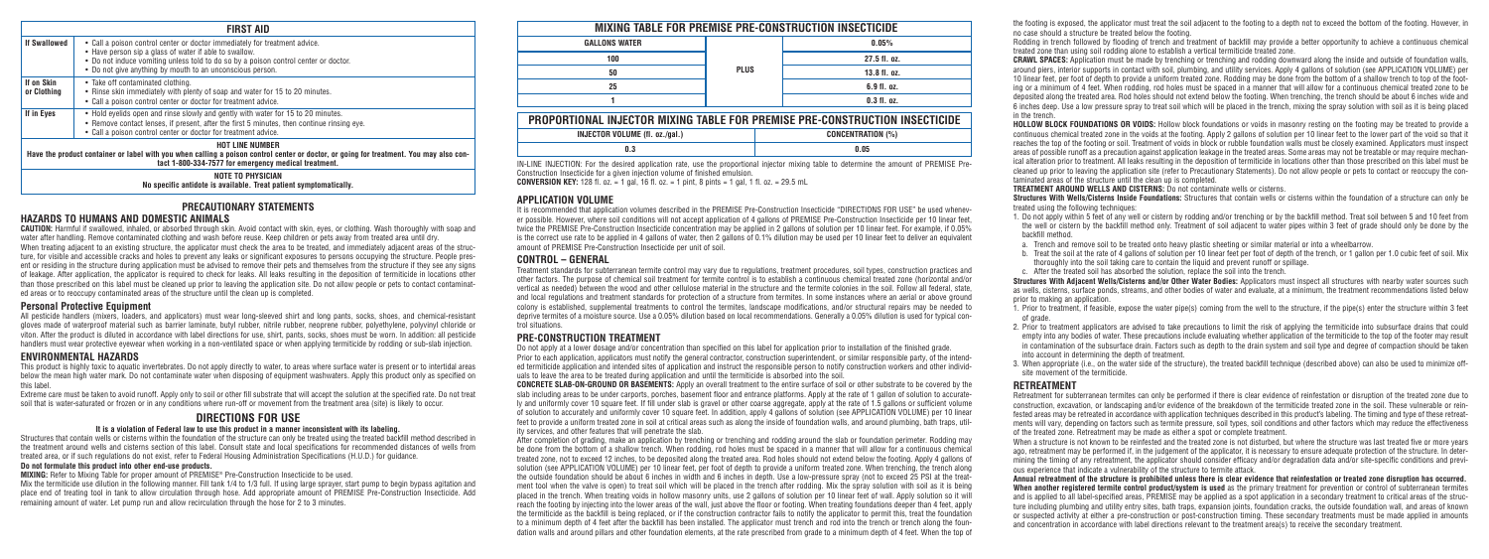| <b>FIRST AID</b>                                                                                                                                                                                                         |                                                                                                                                                                                                                                                                                          |  |
|--------------------------------------------------------------------------------------------------------------------------------------------------------------------------------------------------------------------------|------------------------------------------------------------------------------------------------------------------------------------------------------------------------------------------------------------------------------------------------------------------------------------------|--|
| <b>If Swallowed</b>                                                                                                                                                                                                      | • Call a poison control center or doctor immediately for treatment advice.<br>• Have person sip a glass of water if able to swallow.<br>• Do not induce vomiting unless told to do so by a poison control center or doctor.<br>• Do not give anything by mouth to an unconscious person. |  |
| If on Skin<br>or Clothing                                                                                                                                                                                                | • Take off contaminated clothing.<br>• Rinse skin immediately with plenty of soap and water for 15 to 20 minutes.<br>• Call a poison control center or doctor for treatment advice.                                                                                                      |  |
| If in Eyes                                                                                                                                                                                                               | • Hold evelids open and rinse slowly and gently with water for 15 to 20 minutes.<br>• Remove contact lenses, if present, after the first 5 minutes, then continue rinsing eye.<br>• Call a poison control center or doctor for treatment advice.                                         |  |
| <b>HOT LINE NUMBER</b><br>Have the product container or label with you when calling a poison control center or doctor, or going for treatment. You may also con-<br>tact 1-800-334-7577 for emergency medical treatment. |                                                                                                                                                                                                                                                                                          |  |
| <b>NOTE TO PHYSICIAN</b><br>No specific antidote is available. Treat patient symptomatically.                                                                                                                            |                                                                                                                                                                                                                                                                                          |  |

#### **PRECAUTIONARY STATEMENTS**

#### **HAZARDS TO HUMANS AND DOMESTIC ANIMALS**

**CAUTION:** Harmful if swallowed, inhaled, or absorbed through skin. Avoid contact with skin, eyes, or clothing. Wash thoroughly with soap and water after handling. Remove contaminated clothing and wash before reuse. Keep children or pets away from treated area until dry. When treating adiacent to an existing structure, the applicator must check the area to be treated, and immediately adjacent areas of the structure, for visible and accessible cracks and holes to prevent any leaks or significant exposures to persons occupying the structure. People present or residing in the structure during application must be advised to remove their pets and themselves from the structure if they see any signs of leakage. After application, the applicator is required to check for leaks. All leaks resulting in the deposition of termiticide in locations other than those prescribed on this label must be cleaned up prior to leaving the application site. Do not allow people or pets to contact contaminated areas or to reoccupy contaminated areas of the structure until the clean up is completed.

#### **Personal Protective Equipment**

**MIXING:** Refer to Mixing Table for proper amount of PREMISE® Pre-Construction Insecticide to be used. Mix the termiticide use dilution in the following manner. Fill tank 1/4 to 1/3 full. If using large sprayer, start pump to begin bypass agitation and place end of treating tool in tank to allow circulation through hose. Add appropriate amount of PREMISE Pre-Construction Insecticide. Add remaining amount of water. Let pump run and allow recirculation through the hose for 2 to 3 minutes.

All pesticide handlers (mixers, loaders, and applicators) must wear long-sleeved shirt and long pants, socks, shoes, and chemical-resistant gloves made of waterproof material such as barrier laminate, butyl rubber, nitrile rubber, neoprene rubber, polyethylene, polyvinyl chloride or viton. After the product is diluted in accordance with label directions for use, shirt, pants, socks, shoes must be worn. In addition: all pesticide handlers must wear protective eyewear when working in a non-ventilated space or when applying termiticide by rodding or sub-slab injection.

It is recommended that application volumes described in the PREMISE Pre-Construction Insecticide "DIRECTIONS FOR USE" be used whenever possible. However, where soil conditions will not accept application of 4 gallons of PREMISE Pre-Construction Insecticide per 10 linear feet, twice the PREMISE Pre-Construction Insecticide concentration may be applied in 2 gallons of solution per 10 linear feet. For example, if 0.05% is the correct use rate to be applied in 4 gallons of water, then 2 gallons of 0.1% dilution may be used per 10 linear feet to deliver an equivalent amount of PREMISE Pre-Construction Insecticide per unit of soil.

#### **ENVIRONMENTAL HAZARDS**

This product is highly toxic to aquatic invertebrates. Do not apply directly to water, to areas where surface water is present or to intertidal areas below the mean high water mark. Do not contaminate water when disposing of equipment washwaters. Apply this product only as specified on this label.

Extreme care must be taken to avoid runoff. Apply only to soil or other fill substrate that will accept the solution at the specified rate. Do not treat soil that is water-saturated or frozen or in any conditions where run-off or movement from the treatment area (site) is likely to occur.

Do not apply at a lower dosage and/or concentration than specified on this label for application prior to installation of the finished grade. Prior to each application, applicators must notify the general contractor, construction superintendent, or similar responsible party, of the intended termiticide application and intended sites of application and instruct the responsible person to notify construction workers and other individuals to leave the area to be treated during application and until the termiticide is absorbed into the soil.

## **DIRECTIONS FOR USE**

#### **It is a violation of Federal law to use this product in a manner inconsistent with its labeling.**

Structures that contain wells or cisterns within the foundation of the structure can only be treated using the treated backfill method described in the treatment around wells and cisterns section of this label. Consult state and local specifications for recommended distances of wells from treated area, or if such regulations do not exist, refer to Federal Housing Administration Specifications (H.U.D.) for guidance.

#### **Do not formulate this product into other end-use products.**

#### **APPLICATION VOLUME**

#### **CONTROL – GENERAL**

Treatment standards for subterranean termite control may vary due to regulations, treatment procedures, soil types, construction practices and other factors. The purpose of chemical soil treatment for termite control is to establish a continuous chemical treated zone (horizontal and/or vertical as needed) between the wood and other cellulose material in the structure and the termite colonies in the soil. Follow all federal, state, and local regulations and treatment standards for protection of a structure from termites. In some instances where an aerial or above ground colony is established, supplemental treatments to control the termites, landscape modifications, and/or structural repairs may be needed to deprive termites of a moisture source. Use a 0.05% dilution based on local recommendations. Generally a 0.05% dilution is used for typical control situations.

#### **PRE-CONSTRUCTION TREATMENT**

**Structures With Adjacent Wells/Cisterns and/or Other Water Bodies:** Applicators must inspect all structures with nearby water sources such as wells, cisterns, surface ponds, streams, and other bodies of water and evaluate, at a minimum, the treatment recommendations listed below prior to making an application.

**CONCRETE SLAB-ON-GROUND OR BASEMENTS:** Apply an overall treatment to the entire surface of soil or other substrate to be covered by the slab including areas to be under carports, porches, basement floor and entrance platforms. Apply at the rate of 1 gallon of solution to accurately and uniformly cover 10 square feet. If fill under slab is gravel or other coarse aggregate, apply at the rate of 1.5 gallons or sufficient volume of solution to accurately and uniformly cover 10 square feet. In addition, apply 4 gallons of solution (see APPLICATION VOLUME) per 10 linear feet to provide a uniform treated zone in soil at critical areas such as along the inside of foundation walls, and around plumbing, bath traps, utility services, and other features that will penetrate the slab.

> When a structure is not known to be reinfested and the treated zone is not disturbed, but where the structure was last treated five or more years ago, retreatment may be performed if, in the judgement of the applicator, it is necessary to ensure adequate protection of the structure. In determining the timing of any retreatment, the applicator should consider efficacy and/or degradation data and/or site-specific conditions and previous experience that indicate a vulnerability of the structure to termite attack.

After completion of grading, make an application by trenching or trenching and rodding around the slab or foundation perimeter. Rodding may be done from the bottom of a shallow trench. When rodding, rod holes must be spaced in a manner that will allow for a continuous chemical treated zone, not to exceed 12 inches, to be deposited along the treated area. Rod holes should not extend below the footing. Apply 4 gallons of solution (see APPLICATION VOLUME) per 10 linear feet, per foot of depth to provide a uniform treated zone. When trenching, the trench along the outside foundation should be about 6 inches in width and 6 inches in depth. Use a low-pressure spray (not to exceed 25 PSI at the treatment tool when the valve is open) to treat soil which will be placed in the trench after rodding. Mix the spray solution with soil as it is being placed in the trench. When treating voids in hollow masonry units, use 2 gallons of solution per 10 linear feet of wall. Apply solution so it will reach the footing by injecting into the lower areas of the wall, just above the floor or footing. When treating foundations deeper than 4 feet, apply the termiticide as the backfill is being replaced, or if the construction contractor fails to notify the applicator to permit this, treat the foundation to a minimum depth of 4 feet after the backfill has been installed. The applicator must trench and rod into the trench or trench along the foundation walls and around pillars and other foundation elements, at the rate prescribed from grade to a minimum depth of 4 feet. When the top of the footing is exposed, the applicator must treat the soil adjacent to the footing to a depth not to exceed the bottom of the footing. However, in no case should a structure be treated below the footing.

Rodding in trench followed by flooding of trench and treatment of backfill may provide a better opportunity to achieve a continuous chemical treated zone than using soil rodding alone to establish a vertical termiticide treated zone.

**CRAWL SPACES:** Application must be made by trenching or trenching and rodding downward along the inside and outside of foundation walls, around piers, interior supports in contact with soil, plumbing, and utility services. Apply 4 gallons of solution (see APPLICATION VOLUME) per 10 linear feet, per foot of depth to provide a uniform treated zone. Rodding may be done from the bottom of a shallow trench to top of the footing or a minimum of 4 feet. When rodding, rod holes must be spaced in a manner that will allow for a continuous chemical treated zone to be deposited along the treated area. Rod holes should not extend below the footing. When trenching, the trench should be about 6 inches wide and 6 inches deep. Use a low pressure spray to treat soil which will be placed in the trench, mixing the spray solution with soil as it is being placed

**HOLLOW BLOCK FOUNDATIONS OR VOIDS:** Hollow block foundations or voids in masonry resting on the footing may be treated to provide a continuous chemical treated zone in the voids at the footing. Apply 2 gallons of solution per 10 linear feet to the lower part of the void so that it reaches the top of the footing or soil. Treatment of voids in block or rubble foundation walls must be closely examined. Applicators must inspect areas of possible runoff as a precaution against application leakage in the treated areas. Some areas may not be treatable or may require mechanical alteration prior to treatment. All leaks resulting in the deposition of termiticide in locations other than those prescribed on this label must be cleaned up prior to leaving the application site (refer to Precautionary Statements). Do not allow people or pets to contact or reoccupy the contaminated areas of the structure until the clean up is completed.

**TREATMENT AROUND WELLS AND CISTERNS:** Do not contaminate wells or cisterns.

**Structures With Wells/Cisterns Inside Foundations:** Structures that contain wells or cisterns within the foundation of a structure can only be treated using the following techniques:

in the trench. of grade.

1. Do not apply within 5 feet of any well or cistern by rodding and/or trenching or by the backfill method. Treat soil between 5 and 10 feet from the well or cistern by the backfill method only. Treatment of soil adjacent to water pipes within 3 feet of grade should only be done by the backfill method.

a. Trench and remove soil to be treated onto heavy plastic sheeting or similar material or into a wheelbarrow.

b. Treat the soil at the rate of 4 gallons of solution per 10 linear feet per foot of depth of the trench, or 1 gallon per 1.0 cubic feet of soil. Mix thoroughly into the soil taking care to contain the liquid and prevent runoff or spillage.

c. After the treated soil has absorbed the solution, replace the soil into the trench.

1. Prior to treatment, if feasible, expose the water pipe(s) coming from the well to the structure, if the pipe(s) enter the structure within 3 feet

2. Prior to treatment applicators are advised to take precautions to limit the risk of applying the termiticide into subsurface drains that could empty into any bodies of water. These precautions include evaluating whether application of the termiticide to the top of the footer may result in contamination of the subsurface drain. Factors such as depth to the drain system and soil type and degree of compaction should be taken into account in determining the depth of treatment.

3. When appropriate (i.e., on the water side of the structure), the treated backfill technique (described above) can also be used to minimize offsite movement of the termiticide.

#### **RETREATMENT**

Retreatment for subterranean termites can only be performed if there is clear evidence of reinfestation or disruption of the treated zone due to construction, excavation, or landscaping and/or evidence of the breakdown of the termiticide treated zone in the soil. These vulnerable or reinfested areas may be retreated in accordance with application techniques described in this product's labeling. The timing and type of these retreatments will vary, depending on factors such as termite pressure, soil types, soil conditions and other factors which may reduce the effectiveness of the treated zone. Retreatment may be made as either a spot or complete treatment.

**Annual retreatment of the structure is prohibited unless there is clear evidence that reinfestation or treated zone disruption has occurred. When another registered termite control product/system is used** as the primary treatment for prevention or control of subterranean termites and is applied to all label-specified areas, PREMISE may be applied as a spot application in a secondary treatment to critical areas of the structure including plumbing and utility entry sites, bath traps, expansion joints, foundation cracks, the outside foundation wall, and areas of known or suspected activity at either a pre-construction or post-construction timing. These secondary treatments must be made applied in amounts and concentration in accordance with label directions relevant to the treatment area(s) to receive the secondary treatment.

|                                                            | MIXING TABLE FOR PREMISE PRE-CONSTRUCTION INSECTICIDE                       |             |                   |      |
|------------------------------------------------------------|-----------------------------------------------------------------------------|-------------|-------------------|------|
|                                                            | <b>GALLONS WATER</b>                                                        | <b>PLUS</b> | 0.05%             |      |
|                                                            | 100                                                                         |             | $27.5$ fl. $oz$ . |      |
|                                                            | 50                                                                          |             | 13.8 f1. oz.      |      |
|                                                            | 25                                                                          |             | 6.9f1.oz.         |      |
|                                                            |                                                                             |             | $0.3$ fl. $oz$ .  |      |
|                                                            | PROPORTIONAL INJECTOR MIXING TABLE FOR PREMISE PRE-CONSTRUCTION INSECTICIDE |             |                   |      |
|                                                            |                                                                             |             |                   |      |
| INJECTOR VOLUME (fl. oz./gal.)<br><b>CONCENTRATION (%)</b> |                                                                             |             |                   |      |
|                                                            | 0.3                                                                         |             |                   | 0.05 |
|                                                            |                                                                             |             |                   |      |

IN-LINE INJECTION: For the desired application rate, use the proportional injector mixing table to determine the amount of PREMISE Pre-Construction Insecticide for a given injection volume of finished emulsion. **CONVERSION KEY:** 128 fl. oz. = 1 gal, 16 fl. oz. = 1 pint, 8 pints = 1 gal, 1 fl. oz. = 29.5 mL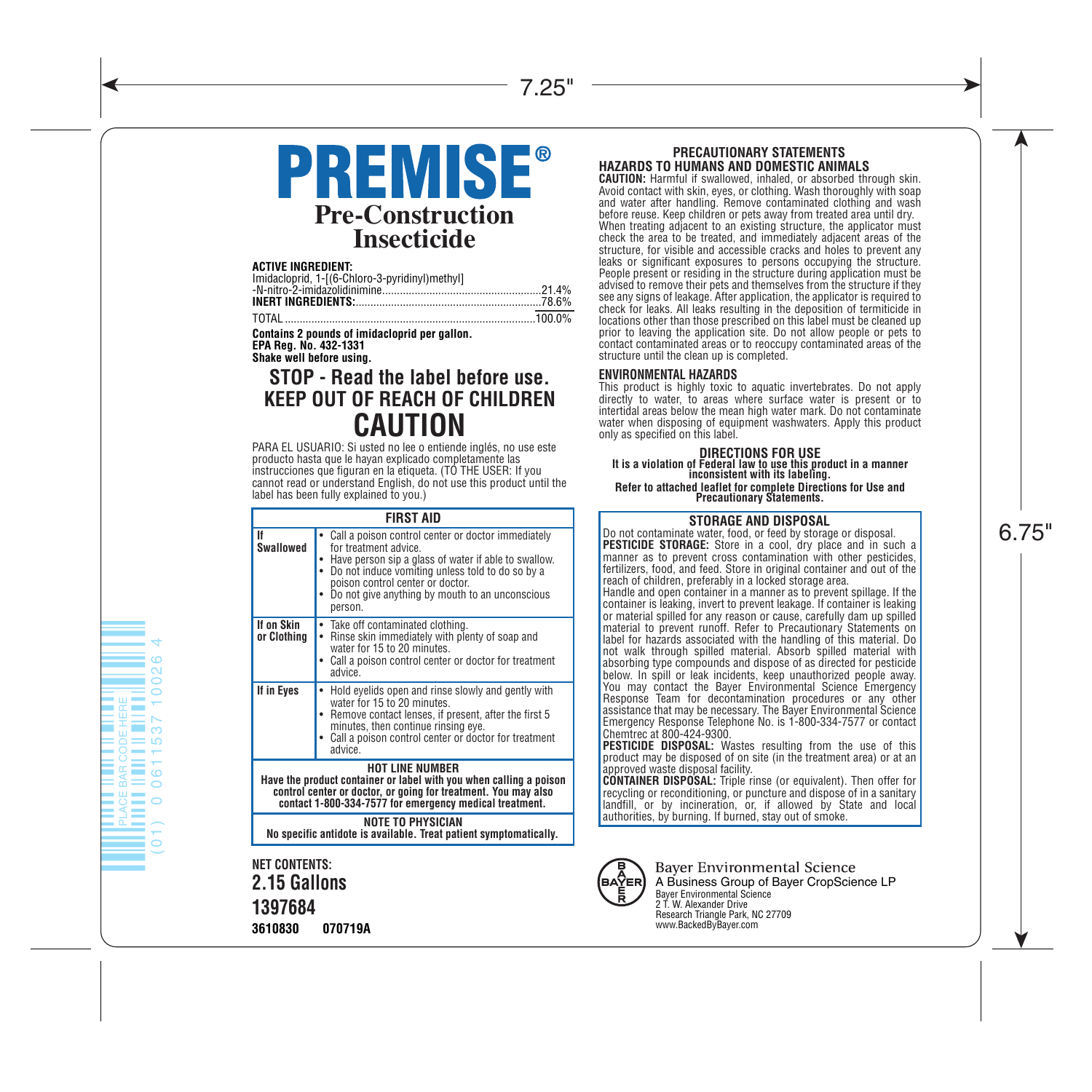# **PREMISE® Pre-Construction Insecticide**

**ACTIVE INGREDIENT:**

| Imidacloprid, 1-[(6-Chloro-3-pyridinyl)methyl] |  |
|------------------------------------------------|--|
|                                                |  |
|                                                |  |
|                                                |  |

TOTAL .....................................................................................100.0%

**Contains 2 pounds of imidacloprid per gallon. EPA Reg. No. 432-1331**

**Shake well before using.**

## **CAUTION STOP - Read the label before use. KEEP OUT OF REACH OF CHILDREN**

PARA EL USUARIO: Si usted no lee o entiende inglés, no use este producto hasta que le hayan explicado completamente las instrucciones que figuran en la etiqueta. (TO THE USER: If you cannot read or understand English, do not use this product until the label has been fully explained to you.)

|                                                                                                                                                                                                                           | <b>FIRST AID</b>                                                                                                                                                                                                                                                                          |
|---------------------------------------------------------------------------------------------------------------------------------------------------------------------------------------------------------------------------|-------------------------------------------------------------------------------------------------------------------------------------------------------------------------------------------------------------------------------------------------------------------------------------------|
| lf<br>Swallowed                                                                                                                                                                                                           | Call a poison control center or doctor immediately<br>for treatment advice.<br>Have person sip a glass of water if able to swallow.<br>Do not induce vomiting unless told to do so by a<br>poison control center or doctor.<br>Do not give anything by mouth to an unconscious<br>person. |
| If on Skin<br>or Clothing                                                                                                                                                                                                 | Take off contaminated clothing.<br>٠<br>Rinse skin immediately with plenty of soap and<br>٠<br>water for 15 to 20 minutes.<br>Call a poison control center or doctor for treatment<br>advice.                                                                                             |
| If in Eyes                                                                                                                                                                                                                | Hold eyelids open and rinse slowly and gently with<br>water for 15 to 20 minutes.<br>Remove contact lenses, if present, after the first 5<br>minutes, then continue rinsing eye.<br>Call a poison control center or doctor for treatment<br>advice.                                       |
| <b>HOT LINE NUMBER</b><br>Have the product container or label with you when calling a poison<br>control center or doctor, or going for treatment. You may also<br>contact 1-800-334-7577 for emergency medical treatment. |                                                                                                                                                                                                                                                                                           |
| <b><i>NOTE TO PHYSICIAN</i></b><br>No specific antidote is available. Treat patient symptomatically.                                                                                                                      |                                                                                                                                                                                                                                                                                           |

**NET CONTENTS: 2.15 Gallons 1397684 3610830 070719A**

#### **PRECAUTIONARY STATEMENTS HAZARDS TO HUMANS AND DOMESTIC ANIMALS**

**CAUTION:** Harmful if swallowed, inhaled, or absorbed through skin. Avoid contact with skin, eyes, or clothing. Wash thoroughly with soap and water after handling. Remove contaminated clothing and wash before reuse. Keep children or pets away from treated area until dry. When treating adjacent to an existing structure, the applicator must check the area to be treated, and immediately adjacent areas of the structure, for visible and accessible cracks and holes to prevent any leaks or significant exposures to persons occupying the structure. People present or residing in the structure during application must be<br>advised to remove their pets and themselves from the structure if they<br>see any signs of leakage. After application, the applicator is required to check for leaks. All leaks resulting in the deposition of termiticide in locations other than those prescribed on this label must be cleaned up prior to leaving the application site. Do not allow people or pets to contact contaminated areas or to reoccupy contaminated areas of the structure until the clean up is completed.

#### **ENVIRONMENTAL HAZARDS**

This product is highly toxic to aquatic invertebrates. Do not apply directly to water, to areas where surface water is present or to intertidal areas below the mean high water mark. Do not contaminate water when disposing of equipment washwaters. Apply this product only as specified on this label.

# **DIRECTIONS FOR USE It is a violation of Federal law to use this product in a manner inconsistent with its labeling.**

**Refer to attached leaflet for complete Directions for Use and Precautionary Statements.**

#### **STORAGE AND DISPOSAL**

Do not contaminate water, food, or feed by storage or disposal. **PESTICIDE STORAGE:** Store in a cool, dry place and in such a manner as to prevent cross contamination with other pesticides, fertilizers, food, and feed. Store in original container and out of the reach of children, preferably in a locked storage area.

Handle and open container in a manner as to prevent spillage. If the container is leaking, invert to prevent leakage. If container is leaking or material spilled for any reason or cause, carefully dam up spilled material to prevent runoff. Refer to Precautionary Statements on label for hazards associated with the handling of this material. Do not walk through spilled material. Absorb spilled material with absorbing type compounds and dispose of as directed for pesticide below. In spill or leak incidents, keep unauthorized people away. You may contact the Bayer Environmental Science Emergency Response Team for decontamination procedures or any other assistance that may be necessary. The Bayer Environmental Science Emergency Response Telephone No. is 1-800-334-7577 or contact<br>Chemtrec at 800-424-9300.<br>**PESTICIDE DISPOSAL:** Wastes resulting from the use of this

product may be disposed of on site (in the treatment area) or at an

approved waste disposal facility. **CONTAINER DISPOSAL:** Triple rinse (or equivalent). Then offer for recycling or reconditioning, or puncture and dispose of in a sanitary landfill, or by incineration, or, if allowed by State and local authorities, by burning. If burned, stay out of smoke.



**Bayer Environmental Science** A Business Group of Bayer CropScience LP Bayer Environmental Science 2 T. W. Alexander Drive Research Triangle Park, NC 27709 www.BackedByBayer.com

## 6.75"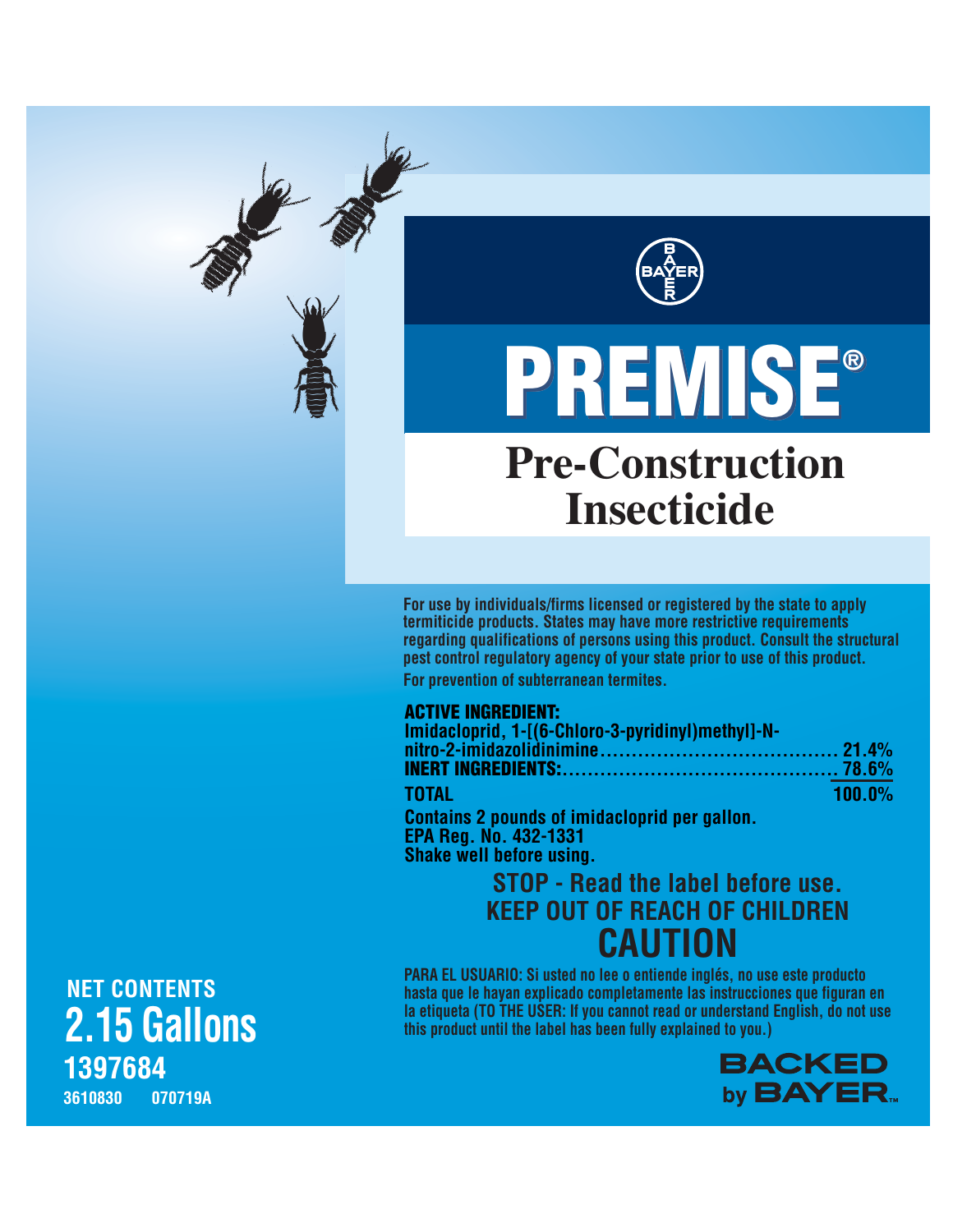

# **Pre-Construction Insecticide** PREMISE ® PREMISE®

**For use by individuals/firms licensed or registered by the state to apply termiticide products. States may have more restrictive requirements regarding qualifications of persons using this product. Consult the structural pest control regulatory agency of your state prior to use of this product.**

**For prevention of subterranean termites.**

## ACTIVE INGREDIENT:

| Imidacloprid, 1-[(6-Chloro-3-pyridinyl)methyl]-N-    |           |
|------------------------------------------------------|-----------|
|                                                      |           |
|                                                      |           |
| <b>TOTAL</b>                                         | $100.0\%$ |
| <b>Contains 2 pounds of imidacloprid per gallon.</b> |           |

**EPA Reg. No. 432-1331 Shake well before using.**

## **CAUTION STOP - Read the label before use. KEEP OUT OF REACH OF CHILDREN**

**PARA EL USUARIO: Si usted no lee o entiende inglés, no use este producto hasta que le hayan explicado completamente las instrucciones que figuran en la etiqueta (TO THE USER: If you cannot read or understand English, do not use this product until the label has been fully explained to you.)**



**1397684 3610830 070719A NET CONTENTS 2.15 Gallons**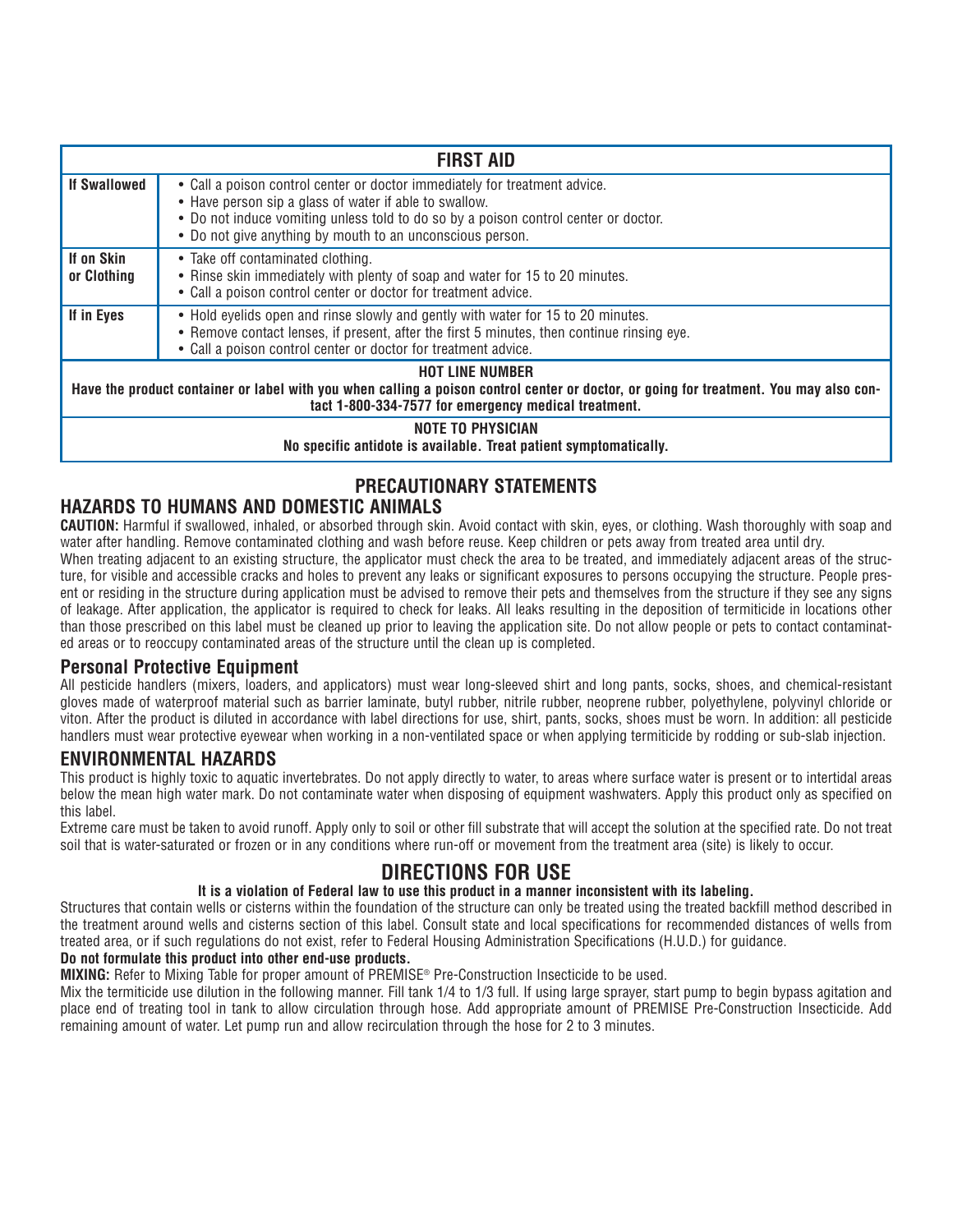| <b>FIRST AID</b>                                                                                                                                                                                                         |                                                                                                                                                                                                                                                                                          |  |
|--------------------------------------------------------------------------------------------------------------------------------------------------------------------------------------------------------------------------|------------------------------------------------------------------------------------------------------------------------------------------------------------------------------------------------------------------------------------------------------------------------------------------|--|
| <b>If Swallowed</b>                                                                                                                                                                                                      | • Call a poison control center or doctor immediately for treatment advice.<br>• Have person sip a glass of water if able to swallow.<br>• Do not induce vomiting unless told to do so by a poison control center or doctor.<br>• Do not give anything by mouth to an unconscious person. |  |
| If on Skin<br>or Clothing                                                                                                                                                                                                | • Take off contaminated clothing.<br>• Rinse skin immediately with plenty of soap and water for 15 to 20 minutes.<br>• Call a poison control center or doctor for treatment advice.                                                                                                      |  |
| If in Eyes                                                                                                                                                                                                               | • Hold eyelids open and rinse slowly and gently with water for 15 to 20 minutes.<br>• Remove contact lenses, if present, after the first 5 minutes, then continue rinsing eye.<br>• Call a poison control center or doctor for treatment advice.                                         |  |
| <b>HOT LINE NUMBER</b><br>Have the product container or label with you when calling a poison control center or doctor, or going for treatment. You may also con-<br>tact 1-800-334-7577 for emergency medical treatment. |                                                                                                                                                                                                                                                                                          |  |
| <b>NOTE TO PHYSICIAN</b><br>No specific antidote is available. Treat patient symptomatically.                                                                                                                            |                                                                                                                                                                                                                                                                                          |  |

## **PRECAUTIONARY STATEMENTS**

## **HAZARDS TO HUMANS AND DOMESTIC ANIMALS**

**CAUTION:** Harmful if swallowed, inhaled, or absorbed through skin. Avoid contact with skin, eyes, or clothing. Wash thoroughly with soap and water after handling. Remove contaminated clothing and wash before reuse. Keep children or pets away from treated area until dry.

When treating adjacent to an existing structure, the applicator must check the area to be treated, and immediately adjacent areas of the structure, for visible and accessible cracks and holes to prevent any leaks or significant exposures to persons occupying the structure. People present or residing in the structure during application must be advised to remove their pets and themselves from the structure if they see any signs of leakage. After application, the applicator is required to check for leaks. All leaks resulting in the deposition of termiticide in locations other than those prescribed on this label must be cleaned up prior to leaving the application site. Do not allow people or pets to contact contaminated areas or to reoccupy contaminated areas of the structure until the clean up is completed.

## **Personal Protective Equipment**

All pesticide handlers (mixers, loaders, and applicators) must wear long-sleeved shirt and long pants, socks, shoes, and chemical-resistant gloves made of waterproof material such as barrier laminate, butyl rubber, nitrile rubber, neoprene rubber, polyethylene, polyvinyl chloride or viton. After the product is diluted in accordance with label directions for use, shirt, pants, socks, shoes must be worn. In addition: all pesticide handlers must wear protective eyewear when working in a non-ventilated space or when applying termiticide by rodding or sub-slab injection.

## **ENVIRONMENTAL HAZARDS**

This product is highly toxic to aquatic invertebrates. Do not apply directly to water, to areas where surface water is present or to intertidal areas below the mean high water mark. Do not contaminate water when disposing of equipment washwaters. Apply this product only as specified on this label.

Extreme care must be taken to avoid runoff. Apply only to soil or other fill substrate that will accept the solution at the specified rate. Do not treat soil that is water-saturated or frozen or in any conditions where run-off or movement from the treatment area (site) is likely to occur.

## **DIRECTIONS FOR USE**

#### **It is a violation of Federal law to use this product in a manner inconsistent with its labeling.**

Structures that contain wells or cisterns within the foundation of the structure can only be treated using the treated backfill method described in the treatment around wells and cisterns section of this label. Consult state and local specifications for recommended distances of wells from treated area, or if such regulations do not exist, refer to Federal Housing Administration Specifications (H.U.D.) for guidance.

#### **Do not formulate this product into other end-use products.**

**MIXING:** Refer to Mixing Table for proper amount of PREMISE® Pre-Construction Insecticide to be used.

Mix the termiticide use dilution in the following manner. Fill tank 1/4 to 1/3 full. If using large sprayer, start pump to begin bypass agitation and place end of treating tool in tank to allow circulation through hose. Add appropriate amount of PREMISE Pre-Construction Insecticide. Add remaining amount of water. Let pump run and allow recirculation through the hose for 2 to 3 minutes.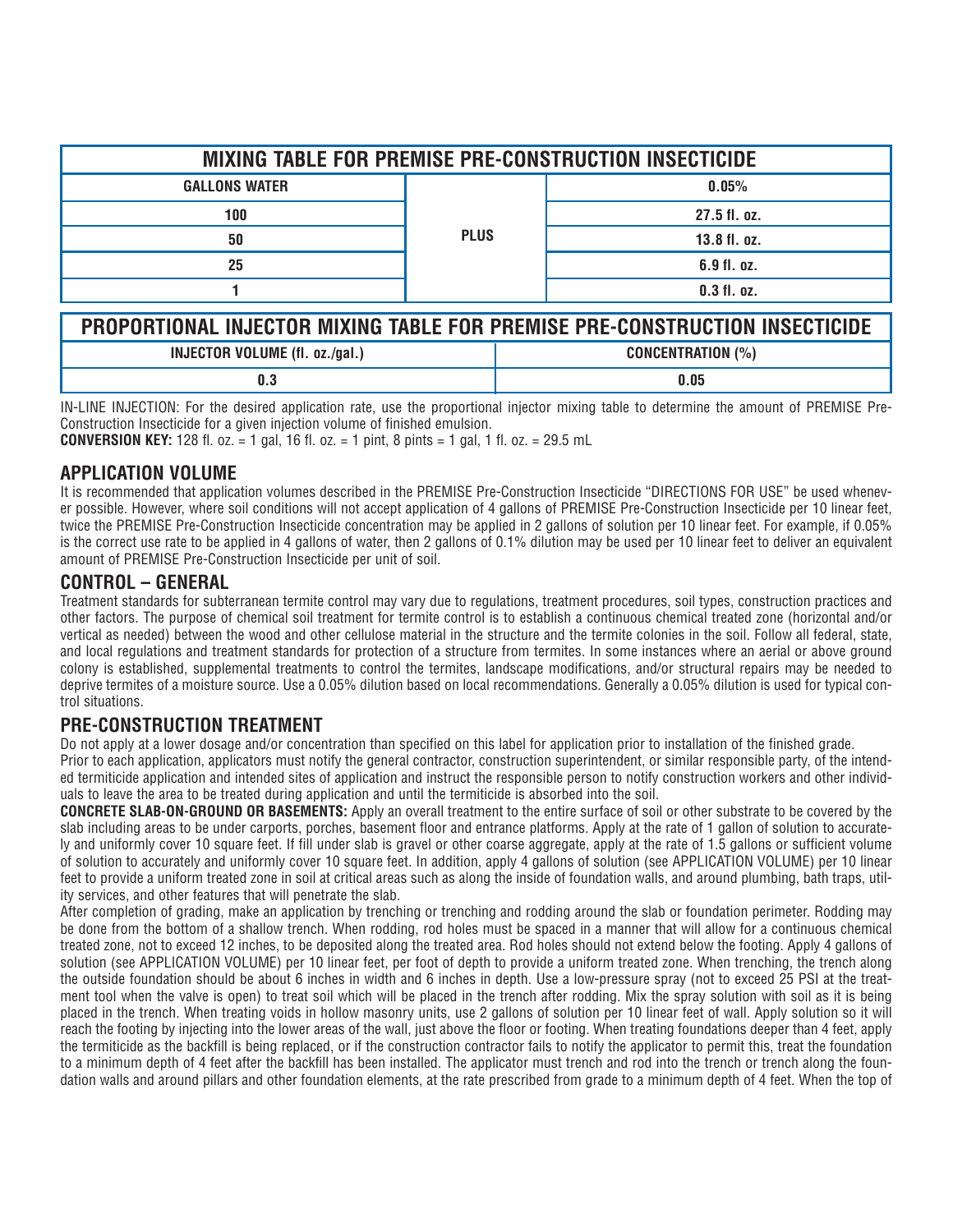| <b>MIXING TABLE FOR PREMISE PRE-CONSTRUCTION INSECTICIDE</b>                |             |               |
|-----------------------------------------------------------------------------|-------------|---------------|
| <b>GALLONS WATER</b>                                                        | <b>PLUS</b> | 0.05%         |
| 100                                                                         |             | 27.5 fl. oz.  |
| 50                                                                          |             | 13.8 fl. oz.  |
| 25                                                                          |             | 6.9 fl. oz.   |
|                                                                             |             | $0.3$ fl. oz. |
|                                                                             |             |               |
| PROPORTIONAL INJECTOR MIXING TABLE FOR PREMISE PRE-CONSTRUCTION INSECTICIDE |             |               |
| <b>INJECTOR VOLUME (fl. oz./gal.)</b><br><b>CONCENTRATION (%)</b>           |             |               |

IN-LINE INJECTION: For the desired application rate, use the proportional injector mixing table to determine the amount of PREMISE Pre-Construction Insecticide for a given injection volume of finished emulsion.

**0.3 0.05**

**CONVERSION KEY:** 128 fl. oz. = 1 gal, 16 fl. oz. = 1 pint, 8 pints = 1 gal, 1 fl. oz. = 29.5 mL

## **APPLICATION VOLUME**

It is recommended that application volumes described in the PREMISE Pre-Construction Insecticide "DIRECTIONS FOR USE" be used whenever possible. However, where soil conditions will not accept application of 4 gallons of PREMISE Pre-Construction Insecticide per 10 linear feet, twice the PREMISE Pre-Construction Insecticide concentration may be applied in 2 gallons of solution per 10 linear feet. For example, if 0.05% is the correct use rate to be applied in 4 gallons of water, then 2 gallons of 0.1% dilution may be used per 10 linear feet to deliver an equivalent amount of PREMISE Pre-Construction Insecticide per unit of soil.

### **CONTROL – GENERAL**

Treatment standards for subterranean termite control may vary due to regulations, treatment procedures, soil types, construction practices and other factors. The purpose of chemical soil treatment for termite control is to establish a continuous chemical treated zone (horizontal and/or vertical as needed) between the wood and other cellulose material in the structure and the termite colonies in the soil. Follow all federal, state, and local regulations and treatment standards for protection of a structure from termites. In some instances where an aerial or above ground colony is established, supplemental treatments to control the termites, landscape modifications, and/or structural repairs may be needed to deprive termites of a moisture source. Use a 0.05% dilution based on local recommendations. Generally a 0.05% dilution is used for typical control situations.

## **PRE-CONSTRUCTION TREATMENT**

Do not apply at a lower dosage and/or concentration than specified on this label for application prior to installation of the finished grade.

Prior to each application, applicators must notify the general contractor, construction superintendent, or similar responsible party, of the intended termiticide application and intended sites of application and instruct the responsible person to notify construction workers and other individuals to leave the area to be treated during application and until the termiticide is absorbed into the soil.

**CONCRETE SLAB-ON-GROUND OR BASEMENTS:** Apply an overall treatment to the entire surface of soil or other substrate to be covered by the slab including areas to be under carports, porches, basement floor and entrance platforms. Apply at the rate of 1 gallon of solution to accurately and uniformly cover 10 square feet. If fill under slab is gravel or other coarse aggregate, apply at the rate of 1.5 gallons or sufficient volume of solution to accurately and uniformly cover 10 square feet. In addition, apply 4 gallons of solution (see APPLICATION VOLUME) per 10 linear feet to provide a uniform treated zone in soil at critical areas such as along the inside of foundation walls, and around plumbing, bath traps, utility services, and other features that will penetrate the slab.

After completion of grading, make an application by trenching or trenching and rodding around the slab or foundation perimeter. Rodding may be done from the bottom of a shallow trench. When rodding, rod holes must be spaced in a manner that will allow for a continuous chemical treated zone, not to exceed 12 inches, to be deposited along the treated area. Rod holes should not extend below the footing. Apply 4 gallons of solution (see APPLICATION VOLUME) per 10 linear feet, per foot of depth to provide a uniform treated zone. When trenching, the trench along the outside foundation should be about 6 inches in width and 6 inches in depth. Use a low-pressure spray (not to exceed 25 PSI at the treatment tool when the valve is open) to treat soil which will be placed in the trench after rodding. Mix the spray solution with soil as it is being placed in the trench. When treating voids in hollow masonry units, use 2 gallons of solution per 10 linear feet of wall. Apply solution so it will reach the footing by injecting into the lower areas of the wall, just above the floor or footing. When treating foundations deeper than 4 feet, apply the termiticide as the backfill is being replaced, or if the construction contractor fails to notify the applicator to permit this, treat the foundation to a minimum depth of 4 feet after the backfill has been installed. The applicator must trench and rod into the trench or trench along the foundation walls and around pillars and other foundation elements, at the rate prescribed from grade to a minimum depth of 4 feet. When the top of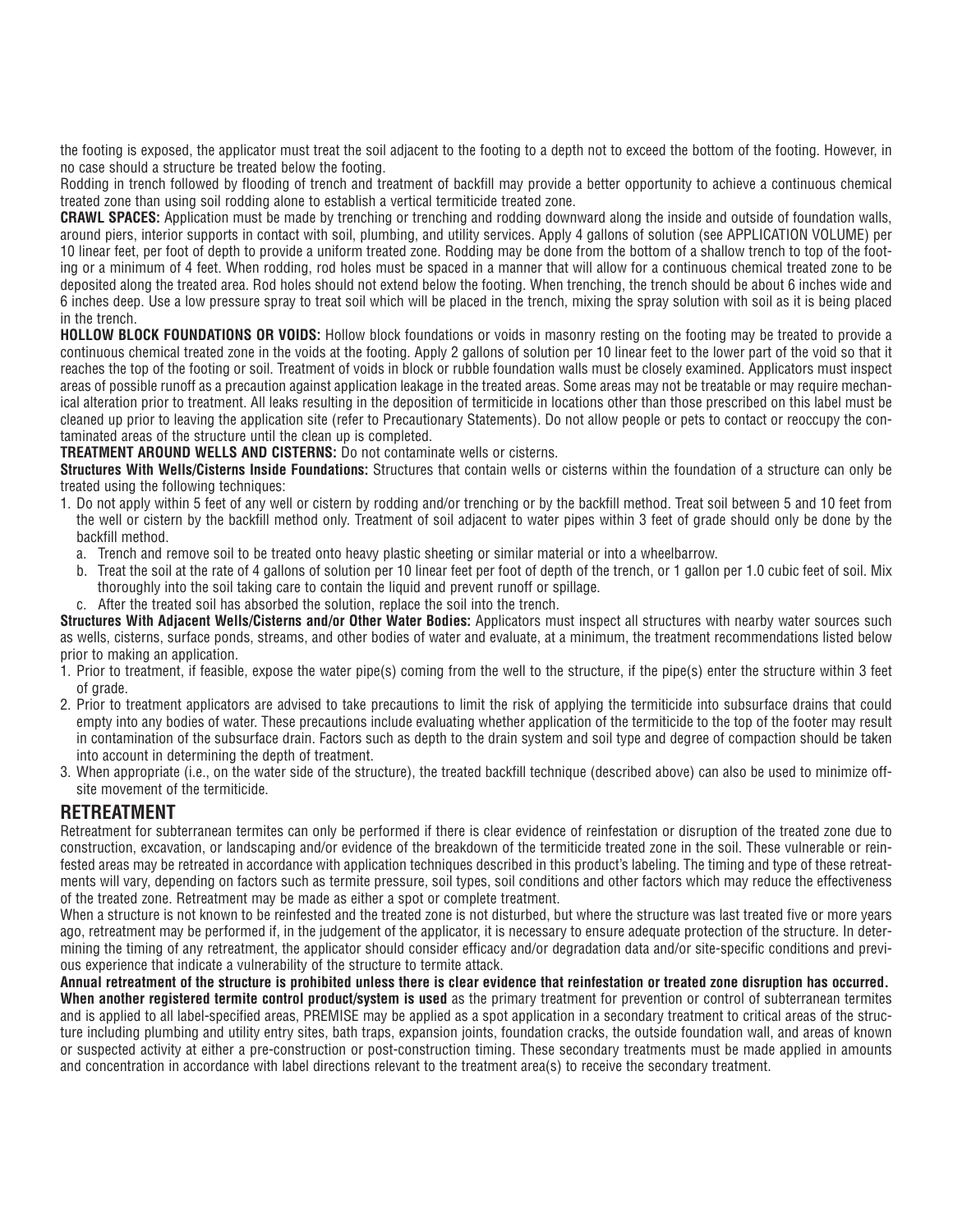the footing is exposed, the applicator must treat the soil adjacent to the footing to a depth not to exceed the bottom of the footing. However, in no case should a structure be treated below the footing.

Rodding in trench followed by flooding of trench and treatment of backfill may provide a better opportunity to achieve a continuous chemical treated zone than using soil rodding alone to establish a vertical termiticide treated zone.

**CRAWL SPACES:** Application must be made by trenching or trenching and rodding downward along the inside and outside of foundation walls, around piers, interior supports in contact with soil, plumbing, and utility services. Apply 4 gallons of solution (see APPLICATION VOLUME) per 10 linear feet, per foot of depth to provide a uniform treated zone. Rodding may be done from the bottom of a shallow trench to top of the footing or a minimum of 4 feet. When rodding, rod holes must be spaced in a manner that will allow for a continuous chemical treated zone to be deposited along the treated area. Rod holes should not extend below the footing. When trenching, the trench should be about 6 inches wide and 6 inches deep. Use a low pressure spray to treat soil which will be placed in the trench, mixing the spray solution with soil as it is being placed in the trench.

**HOLLOW BLOCK FOUNDATIONS OR VOIDS:** Hollow block foundations or voids in masonry resting on the footing may be treated to provide a continuous chemical treated zone in the voids at the footing. Apply 2 gallons of solution per 10 linear feet to the lower part of the void so that it reaches the top of the footing or soil. Treatment of voids in block or rubble foundation walls must be closely examined. Applicators must inspect areas of possible runoff as a precaution against application leakage in the treated areas. Some areas may not be treatable or may require mechanical alteration prior to treatment. All leaks resulting in the deposition of termiticide in locations other than those prescribed on this label must be cleaned up prior to leaving the application site (refer to Precautionary Statements). Do not allow people or pets to contact or reoccupy the contaminated areas of the structure until the clean up is completed.

**TREATMENT AROUND WELLS AND CISTERNS:** Do not contaminate wells or cisterns.

**Structures With Wells/Cisterns Inside Foundations:** Structures that contain wells or cisterns within the foundation of a structure can only be treated using the following techniques:

- 1. Do not apply within 5 feet of any well or cistern by rodding and/or trenching or by the backfill method. Treat soil between 5 and 10 feet from the well or cistern by the backfill method only. Treatment of soil adjacent to water pipes within 3 feet of grade should only be done by the backfill method.
	- a. Trench and remove soil to be treated onto heavy plastic sheeting or similar material or into a wheelbarrow.
	- b. Treat the soil at the rate of 4 gallons of solution per 10 linear feet per foot of depth of the trench, or 1 gallon per 1.0 cubic feet of soil. Mix thoroughly into the soil taking care to contain the liquid and prevent runoff or spillage.
	- c. After the treated soil has absorbed the solution, replace the soil into the trench.

**Structures With Adiacent Wells/Cisterns and/or Other Water Bodies:** Applicators must inspect all structures with nearby water sources such as wells, cisterns, surface ponds, streams, and other bodies of water and evaluate, at a minimum, the treatment recommendations listed below prior to making an application.

- 1. Prior to treatment, if feasible, expose the water pipe(s) coming from the well to the structure, if the pipe(s) enter the structure within 3 feet of grade.
- 2. Prior to treatment applicators are advised to take precautions to limit the risk of applying the termiticide into subsurface drains that could empty into any bodies of water. These precautions include evaluating whether application of the termiticide to the top of the footer may result in contamination of the subsurface drain. Factors such as depth to the drain system and soil type and degree of compaction should be taken into account in determining the depth of treatment.
- 3. When appropriate (i.e., on the water side of the structure), the treated backfill technique (described above) can also be used to minimize offsite movement of the termiticide.

## **RETREATMENT**

Retreatment for subterranean termites can only be performed if there is clear evidence of reinfestation or disruption of the treated zone due to construction, excavation, or landscaping and/or evidence of the breakdown of the termiticide treated zone in the soil. These vulnerable or reinfested areas may be retreated in accordance with application techniques described in this product's labeling. The timing and type of these retreatments will vary, depending on factors such as termite pressure, soil types, soil conditions and other factors which may reduce the effectiveness of the treated zone. Retreatment may be made as either a spot or complete treatment.

When a structure is not known to be reinfested and the treated zone is not disturbed, but where the structure was last treated five or more years ago, retreatment may be performed if, in the judgement of the applicator, it is necessary to ensure adequate protection of the structure. In determining the timing of any retreatment, the applicator should consider efficacy and/or degradation data and/or site-specific conditions and previous experience that indicate a vulnerability of the structure to termite attack.

**Annual retreatment of the structure is prohibited unless there is clear evidence that reinfestation or treated zone disruption has occurred. When another registered termite control product/system is used** as the primary treatment for prevention or control of subterranean termites and is applied to all label-specified areas, PREMISE may be applied as a spot application in a secondary treatment to critical areas of the structure including plumbing and utility entry sites, bath traps, expansion joints, foundation cracks, the outside foundation wall, and areas of known or suspected activity at either a pre-construction or post-construction timing. These secondary treatments must be made applied in amounts and concentration in accordance with label directions relevant to the treatment area(s) to receive the secondary treatment.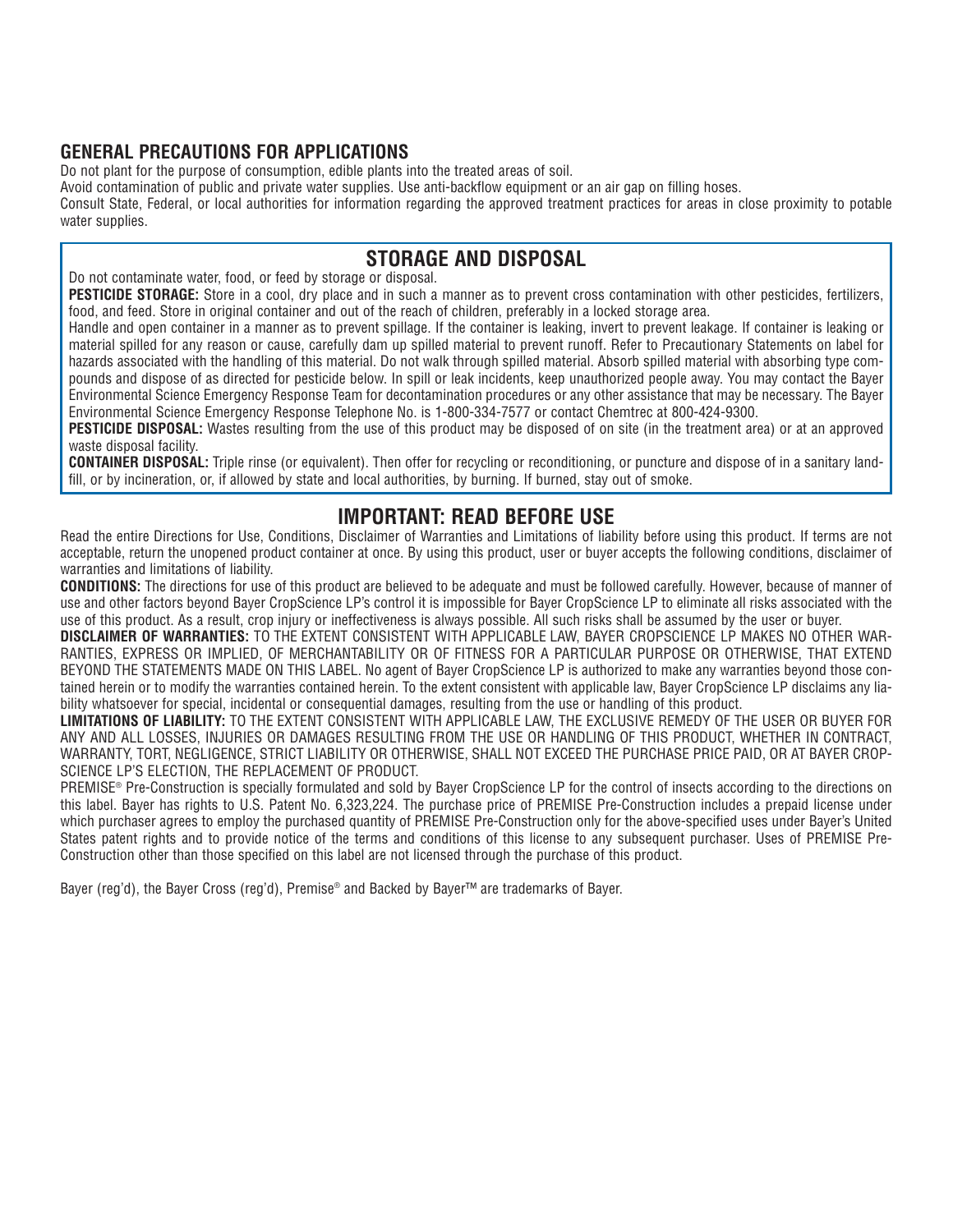## **GENERAL PRECAUTIONS FOR APPLICATIONS**

Do not plant for the purpose of consumption, edible plants into the treated areas of soil.

Avoid contamination of public and private water supplies. Use anti-backflow equipment or an air gap on filling hoses.

Consult State, Federal, or local authorities for information regarding the approved treatment practices for areas in close proximity to potable water supplies.

## **STORAGE AND DISPOSAL**

Do not contaminate water, food, or feed by storage or disposal.

**PESTICIDE STORAGE:** Store in a cool, dry place and in such a manner as to prevent cross contamination with other pesticides, fertilizers, food, and feed. Store in original container and out of the reach of children, preferably in a locked storage area.

Handle and open container in a manner as to prevent spillage. If the container is leaking, invert to prevent leakage. If container is leaking or material spilled for any reason or cause, carefully dam up spilled material to prevent runoff. Refer to Precautionary Statements on label for hazards associated with the handling of this material. Do not walk through spilled material. Absorb spilled material with absorbing type compounds and dispose of as directed for pesticide below. In spill or leak incidents, keep unauthorized people away. You may contact the Bayer Environmental Science Emergency Response Team for decontamination procedures or any other assistance that may be necessary. The Bayer Environmental Science Emergency Response Telephone No. is 1-800-334-7577 or contact Chemtrec at 800-424-9300.

**PESTICIDE DISPOSAL:** Wastes resulting from the use of this product may be disposed of on site (in the treatment area) or at an approved waste disposal facility.

**CONTAINER DISPOSAL:** Triple rinse (or equivalent). Then offer for recycling or reconditioning, or puncture and dispose of in a sanitary landfill, or by incineration, or, if allowed by state and local authorities, by burning. If burned, stay out of smoke.

## **IMPORTANT: READ BEFORE USE**

Read the entire Directions for Use, Conditions, Disclaimer of Warranties and Limitations of liability before using this product. If terms are not acceptable, return the unopened product container at once. By using this product, user or buyer accepts the following conditions, disclaimer of warranties and limitations of liability.

**CONDITIONS:** The directions for use of this product are believed to be adequate and must be followed carefully. However, because of manner of use and other factors beyond Bayer CropScience LP's control it is impossible for Bayer CropScience LP to eliminate all risks associated with the use of this product. As a result, crop injury or ineffectiveness is always possible. All such risks shall be assumed by the user or buyer.

**DISCLAIMER OF WARRANTIES:** TO THE EXTENT CONSISTENT WITH APPLICABLE LAW, BAYER CROPSCIENCE LP MAKES NO OTHER WAR-RANTIES, EXPRESS OR IMPLIED, OF MERCHANTABILITY OR OF FITNESS FOR A PARTICULAR PURPOSE OR OTHERWISE, THAT EXTEND BEYOND THE STATEMENTS MADE ON THIS LABEL. No agent of Bayer CropScience LP is authorized to make any warranties beyond those contained herein or to modify the warranties contained herein. To the extent consistent with applicable law, Bayer CropScience LP disclaims any liability whatsoever for special, incidental or consequential damages, resulting from the use or handling of this product.

**LIMITATIONS OF LIABILITY:** TO THE EXTENT CONSISTENT WITH APPLICABLE LAW, THE EXCLUSIVE REMEDY OF THE USER OR BUYER FOR ANY AND ALL LOSSES, INJURIES OR DAMAGES RESULTING FROM THE USE OR HANDLING OF THIS PRODUCT, WHETHER IN CONTRACT, WARRANTY, TORT, NEGLIGENCE, STRICT LIABILITY OR OTHERWISE, SHALL NOT EXCEED THE PURCHASE PRICE PAID, OR AT BAYER CROP-SCIENCE LP'S ELECTION, THE REPLACEMENT OF PRODUCT.

PREMISE® Pre-Construction is specially formulated and sold by Bayer CropScience LP for the control of insects according to the directions on this label. Bayer has rights to U.S. Patent No. 6,323,224. The purchase price of PREMISE Pre-Construction includes a prepaid license under which purchaser agrees to employ the purchased quantity of PREMISE Pre-Construction only for the above-specified uses under Bayer's United States patent rights and to provide notice of the terms and conditions of this license to any subsequent purchaser. Uses of PREMISE Pre-Construction other than those specified on this label are not licensed through the purchase of this product.

Bayer (reg'd), the Bayer Cross (reg'd), Premise® and Backed by Bayer™ are trademarks of Bayer.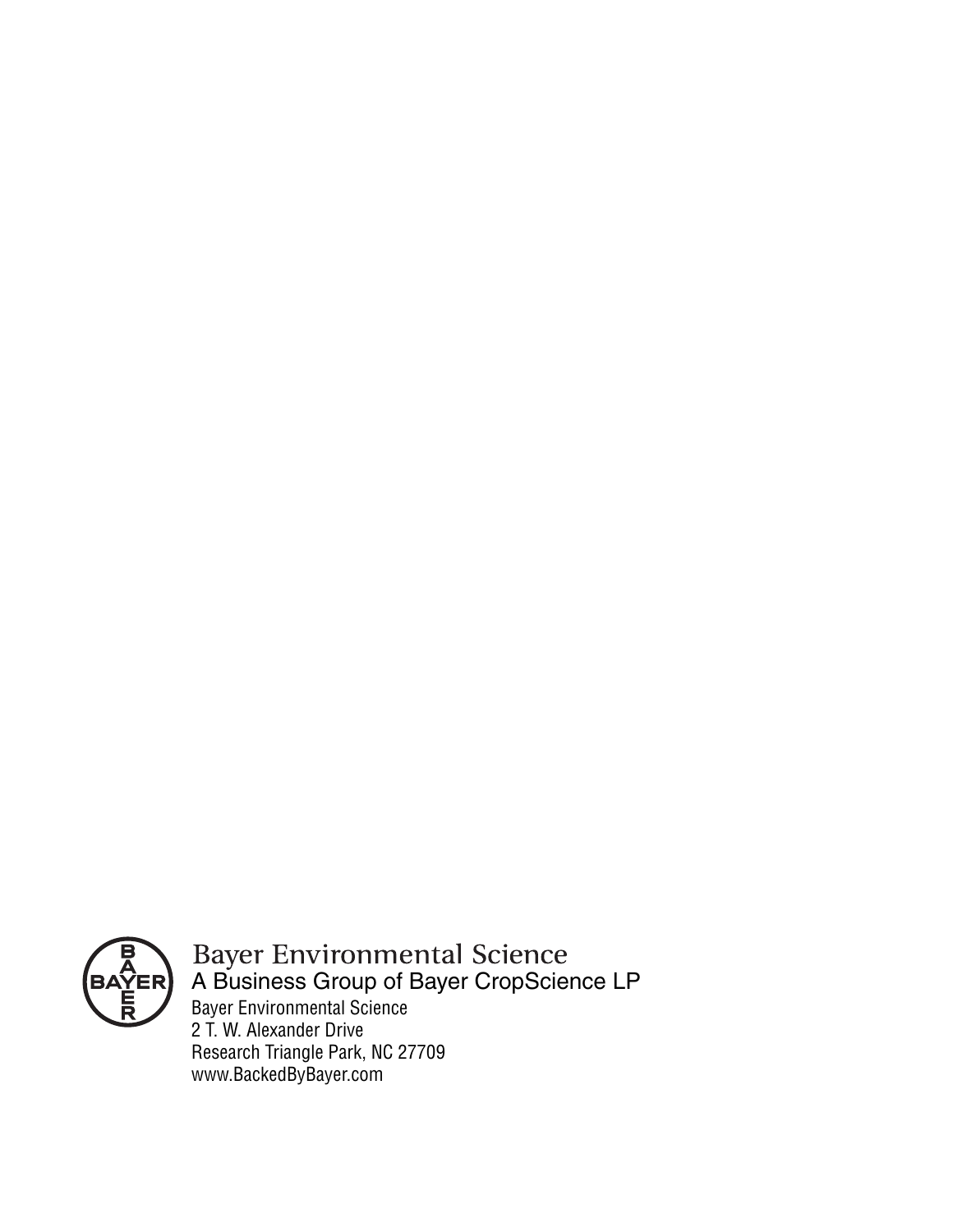

Bayer Environmental Science 2 T. W. Alexander Drive Research Triangle Park, NC 27709 www.BackedByBayer.com Bayer Environmental Science<br>A Business Group of Bayer CropScience LP